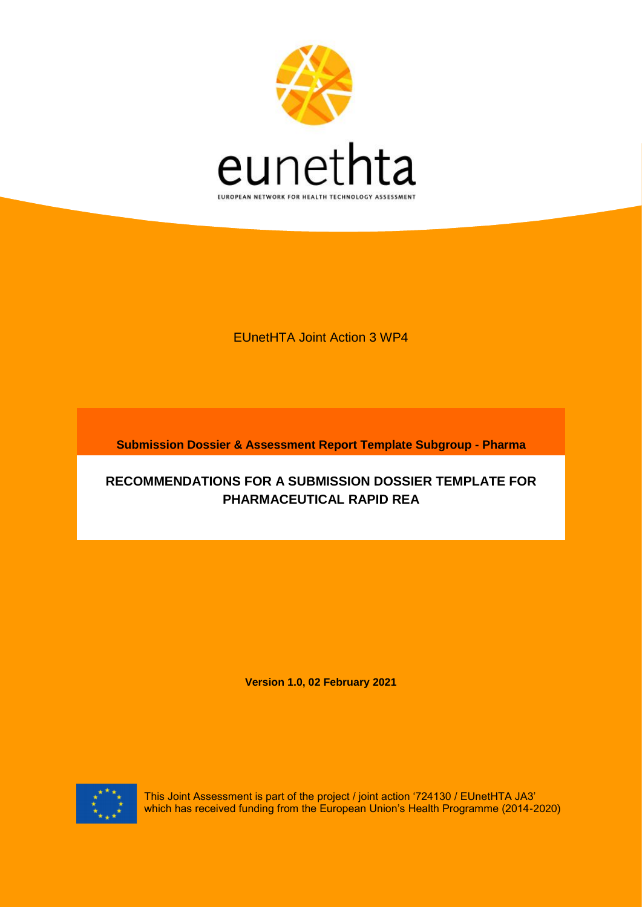

EUnetHTA Joint Action 3 WP4

**Submission Dossier & Assessment Report Template Subgroup - Pharma**

# **RECOMMENDATIONS FOR A SUBMISSION DOSSIER TEMPLATE FOR PHARMACEUTICAL RAPID REA**

**Version 1.0, 02 February 2021**



This Joint Assessment is part of the project / joint action '724130 / EUnetHTA JA3' which has received funding from the European Union's Health Programme (2014-2020)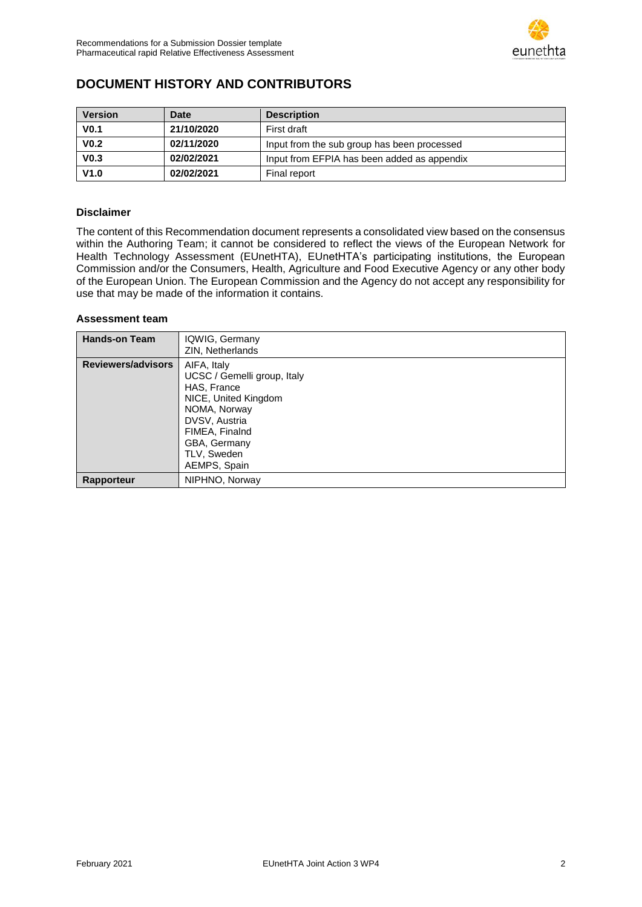

## <span id="page-1-0"></span>**DOCUMENT HISTORY AND CONTRIBUTORS**

| <b>Version</b>   | <b>Date</b> | <b>Description</b>                          |
|------------------|-------------|---------------------------------------------|
| V <sub>0.1</sub> | 21/10/2020  | First draft                                 |
| V <sub>0.2</sub> | 02/11/2020  | Input from the sub group has been processed |
| V <sub>0.3</sub> | 02/02/2021  | Input from EFPIA has been added as appendix |
| V1.0             | 02/02/2021  | Final report                                |

#### **Disclaimer**

The content of this Recommendation document represents a consolidated view based on the consensus within the Authoring Team; it cannot be considered to reflect the views of the European Network for Health Technology Assessment (EUnetHTA), EUnetHTA's participating institutions, the European Commission and/or the Consumers, Health, Agriculture and Food Executive Agency or any other body of the European Union. The European Commission and the Agency do not accept any responsibility for use that may be made of the information it contains.

#### **Assessment team**

| <b>Hands-on Team</b>      | IQWIG, Germany<br>ZIN, Netherlands                                                                                                                                                  |
|---------------------------|-------------------------------------------------------------------------------------------------------------------------------------------------------------------------------------|
| <b>Reviewers/advisors</b> | AIFA, Italy<br>UCSC / Gemelli group, Italy<br>HAS, France<br>NICE, United Kingdom<br>NOMA, Norway<br>DVSV, Austria<br>FIMEA, Finalnd<br>GBA, Germany<br>TLV, Sweden<br>AEMPS, Spain |
| Rapporteur                | NIPHNO, Norway                                                                                                                                                                      |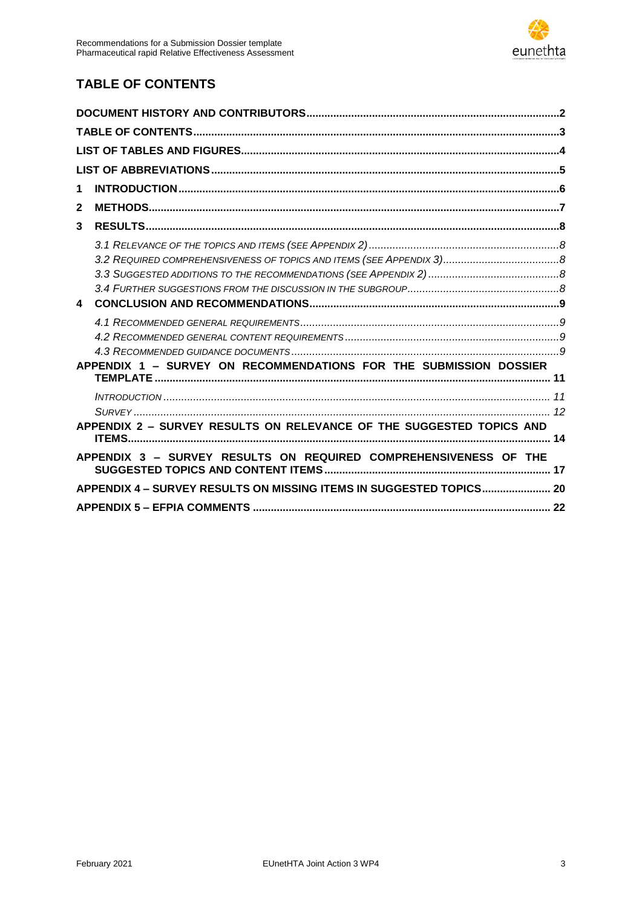# <span id="page-2-0"></span>**TABLE OF CONTENTS**

| 1                |                                                                      |  |
|------------------|----------------------------------------------------------------------|--|
| $\mathbf{2}$     |                                                                      |  |
| 3                |                                                                      |  |
|                  |                                                                      |  |
|                  |                                                                      |  |
|                  |                                                                      |  |
|                  |                                                                      |  |
| $\blacktriangle$ |                                                                      |  |
|                  |                                                                      |  |
|                  |                                                                      |  |
|                  |                                                                      |  |
|                  | APPENDIX 1 - SURVEY ON RECOMMENDATIONS FOR THE SUBMISSION DOSSIER    |  |
|                  |                                                                      |  |
|                  |                                                                      |  |
|                  | APPENDIX 2 - SURVEY RESULTS ON RELEVANCE OF THE SUGGESTED TOPICS AND |  |
|                  |                                                                      |  |
|                  | APPENDIX 3 - SURVEY RESULTS ON REQUIRED COMPREHENSIVENESS OF THE     |  |
|                  | APPENDIX 4 - SURVEY RESULTS ON MISSING ITEMS IN SUGGESTED TOPICS 20  |  |
|                  |                                                                      |  |
|                  |                                                                      |  |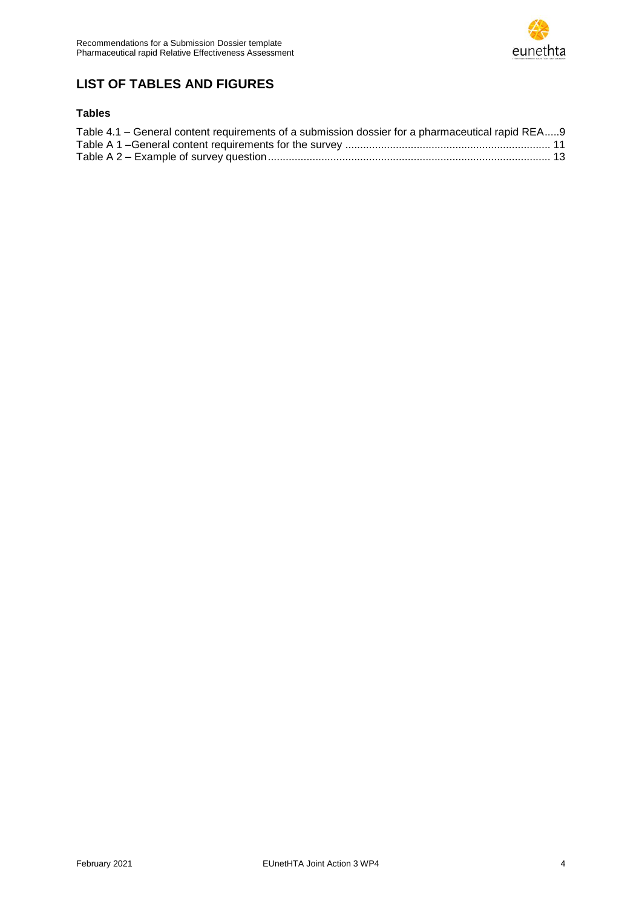## <span id="page-3-0"></span>**LIST OF TABLES AND FIGURES**

### **Tables**

| Table 4.1 – General content requirements of a submission dossier for a pharmaceutical rapid REA9 |  |
|--------------------------------------------------------------------------------------------------|--|
|                                                                                                  |  |
|                                                                                                  |  |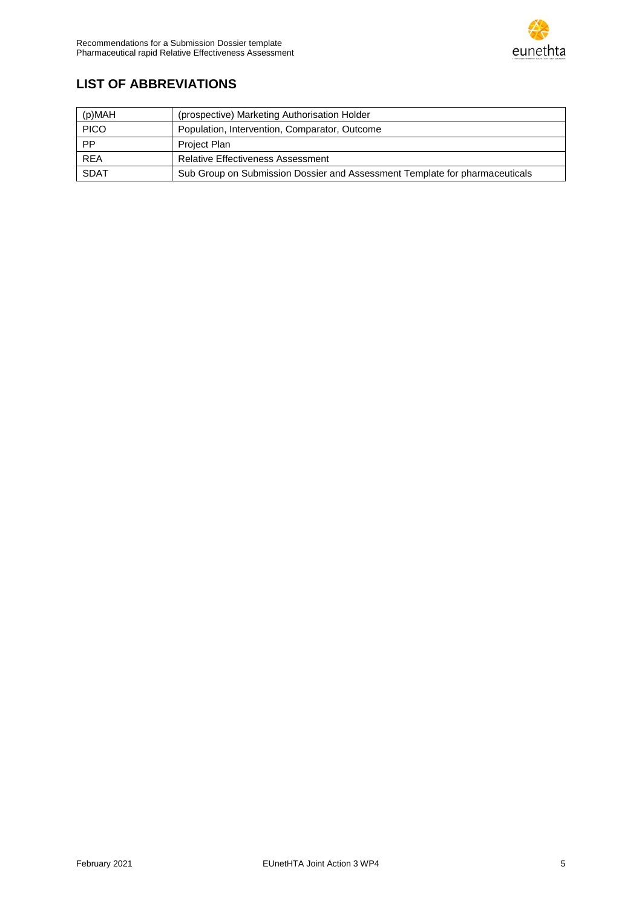# <span id="page-4-0"></span>**LIST OF ABBREVIATIONS**

| (p)MAH      | (prospective) Marketing Authorisation Holder                                |
|-------------|-----------------------------------------------------------------------------|
| <b>PICO</b> | Population, Intervention, Comparator, Outcome                               |
| PP          | Project Plan                                                                |
| <b>REA</b>  | <b>Relative Effectiveness Assessment</b>                                    |
| <b>SDAT</b> | Sub Group on Submission Dossier and Assessment Template for pharmaceuticals |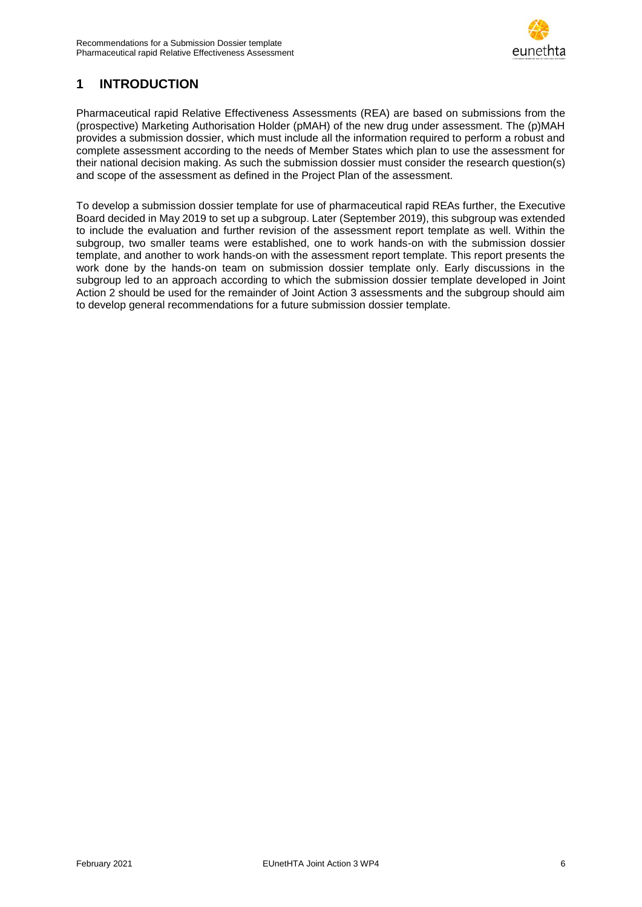

### <span id="page-5-0"></span>**1 INTRODUCTION**

Pharmaceutical rapid Relative Effectiveness Assessments (REA) are based on submissions from the (prospective) Marketing Authorisation Holder (pMAH) of the new drug under assessment. The (p)MAH provides a submission dossier, which must include all the information required to perform a robust and complete assessment according to the needs of Member States which plan to use the assessment for their national decision making. As such the submission dossier must consider the research question(s) and scope of the assessment as defined in the Project Plan of the assessment.

To develop a submission dossier template for use of pharmaceutical rapid REAs further, the Executive Board decided in May 2019 to set up a subgroup. Later (September 2019), this subgroup was extended to include the evaluation and further revision of the assessment report template as well. Within the subgroup, two smaller teams were established, one to work hands-on with the submission dossier template, and another to work hands-on with the assessment report template. This report presents the work done by the hands-on team on submission dossier template only. Early discussions in the subgroup led to an approach according to which the submission dossier template developed in Joint Action 2 should be used for the remainder of Joint Action 3 assessments and the subgroup should aim to develop general recommendations for a future submission dossier template.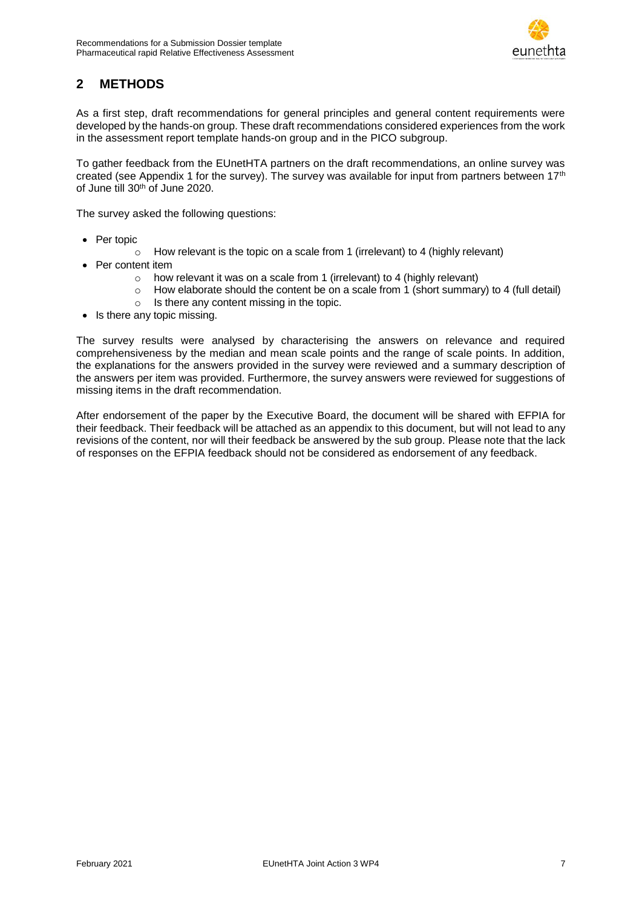

## <span id="page-6-0"></span>**2 METHODS**

As a first step, draft recommendations for general principles and general content requirements were developed by the hands-on group. These draft recommendations considered experiences from the work in the assessment report template hands-on group and in the PICO subgroup.

To gather feedback from the EUnetHTA partners on the draft recommendations, an online survey was created (see Appendix 1 for the survey). The survey was available for input from partners between 17<sup>th</sup> of June till 30th of June 2020.

The survey asked the following questions:

- Per topic
	- o How relevant is the topic on a scale from 1 (irrelevant) to 4 (highly relevant)
- Per content item
	- o how relevant it was on a scale from 1 (irrelevant) to 4 (highly relevant)
	- o How elaborate should the content be on a scale from 1 (short summary) to 4 (full detail)
	- $\circ$  Is there any content missing in the topic.
- Is there any topic missing.

The survey results were analysed by characterising the answers on relevance and required comprehensiveness by the median and mean scale points and the range of scale points. In addition, the explanations for the answers provided in the survey were reviewed and a summary description of the answers per item was provided. Furthermore, the survey answers were reviewed for suggestions of missing items in the draft recommendation.

After endorsement of the paper by the Executive Board, the document will be shared with EFPIA for their feedback. Their feedback will be attached as an appendix to this document, but will not lead to any revisions of the content, nor will their feedback be answered by the sub group. Please note that the lack of responses on the EFPIA feedback should not be considered as endorsement of any feedback.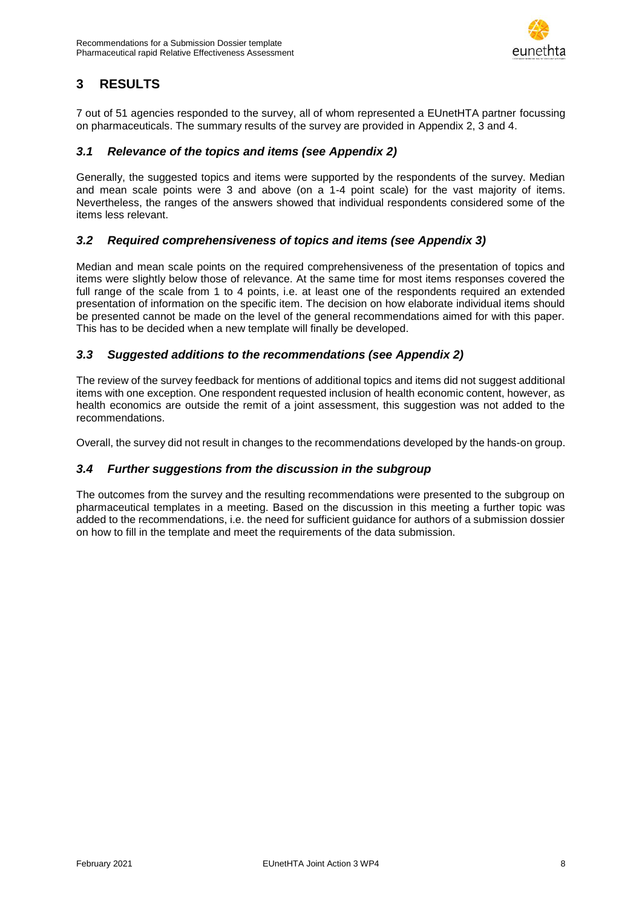

## <span id="page-7-0"></span>**3 RESULTS**

7 out of 51 agencies responded to the survey, all of whom represented a EUnetHTA partner focussing on pharmaceuticals. The summary results of the survey are provided in Appendix 2, 3 and 4.

#### <span id="page-7-1"></span>*3.1 Relevance of the topics and items (see Appendix 2)*

Generally, the suggested topics and items were supported by the respondents of the survey. Median and mean scale points were 3 and above (on a 1-4 point scale) for the vast majority of items. Nevertheless, the ranges of the answers showed that individual respondents considered some of the items less relevant.

### <span id="page-7-2"></span>*3.2 Required comprehensiveness of topics and items (see Appendix 3)*

Median and mean scale points on the required comprehensiveness of the presentation of topics and items were slightly below those of relevance. At the same time for most items responses covered the full range of the scale from 1 to 4 points, i.e. at least one of the respondents required an extended presentation of information on the specific item. The decision on how elaborate individual items should be presented cannot be made on the level of the general recommendations aimed for with this paper. This has to be decided when a new template will finally be developed.

### <span id="page-7-3"></span>*3.3 Suggested additions to the recommendations (see Appendix 2)*

The review of the survey feedback for mentions of additional topics and items did not suggest additional items with one exception. One respondent requested inclusion of health economic content, however, as health economics are outside the remit of a joint assessment, this suggestion was not added to the recommendations.

Overall, the survey did not result in changes to the recommendations developed by the hands-on group.

#### <span id="page-7-4"></span>*3.4 Further suggestions from the discussion in the subgroup*

The outcomes from the survey and the resulting recommendations were presented to the subgroup on pharmaceutical templates in a meeting. Based on the discussion in this meeting a further topic was added to the recommendations, i.e. the need for sufficient guidance for authors of a submission dossier on how to fill in the template and meet the requirements of the data submission.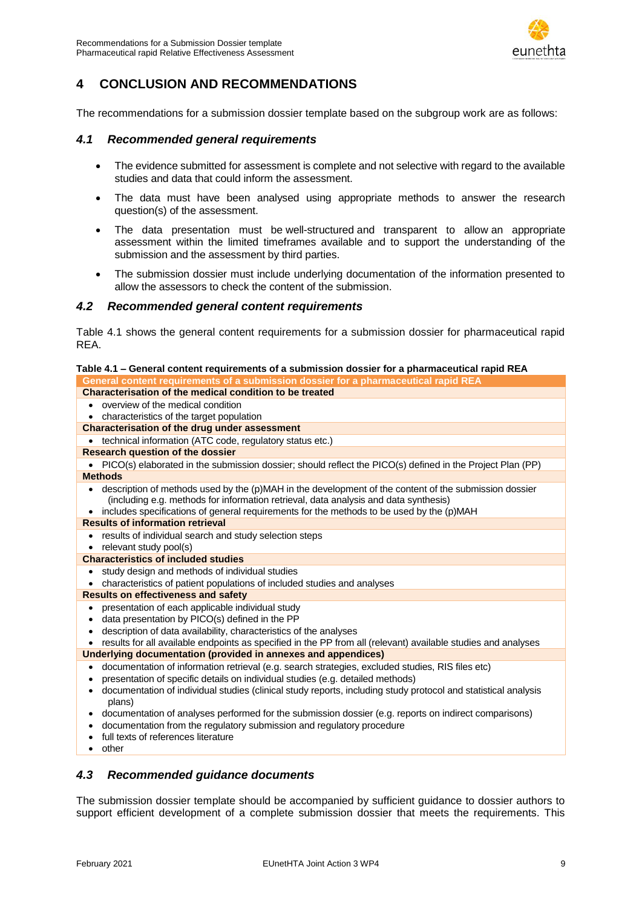

### <span id="page-8-0"></span>**4 CONCLUSION AND RECOMMENDATIONS**

The recommendations for a submission dossier template based on the subgroup work are as follows:

#### <span id="page-8-1"></span>*4.1 Recommended general requirements*

- The evidence submitted for assessment is complete and not selective with regard to the available studies and data that could inform the assessment.
- The data must have been analysed using appropriate methods to answer the research question(s) of the assessment.
- The data presentation must be well-structured and transparent to allow an appropriate assessment within the limited timeframes available and to support the understanding of the submission and the assessment by third parties.
- The submission dossier must include underlying documentation of the information presented to allow the assessors to check the content of the submission.

#### <span id="page-8-2"></span>*4.2 Recommended general content requirements*

[Table 4.1](#page-8-4) shows the general content requirements for a submission dossier for pharmaceutical rapid REA.

#### <span id="page-8-4"></span>**Table 4.1 – General content requirements of a submission dossier for a pharmaceutical rapid REA General content requirements of a submission dossier for a pharmaceutical rapid REA Characterisation of the medical condition to be treated** overview of the medical condition characteristics of the target population **Characterisation of the drug under assessment** • technical information (ATC code, regulatory status etc.) **Research question of the dossier** • PICO(s) elaborated in the submission dossier; should reflect the PICO(s) defined in the Project Plan (PP) **Methods** description of methods used by the (p)MAH in the development of the content of the submission dossier (including e.g. methods for information retrieval, data analysis and data synthesis) • includes specifications of general requirements for the methods to be used by the (p)MAH **Results of information retrieval** results of individual search and study selection steps • relevant study pool(s) **Characteristics of included studies** study design and methods of individual studies characteristics of patient populations of included studies and analyses **Results on effectiveness and safety** presentation of each applicable individual study data presentation by PICO(s) defined in the PP description of data availability, characteristics of the analyses results for all available endpoints as specified in the PP from all (relevant) available studies and analyses **Underlying documentation (provided in annexes and appendices)** documentation of information retrieval (e.g. search strategies, excluded studies, RIS files etc) presentation of specific details on individual studies (e.g. detailed methods) documentation of individual studies (clinical study reports, including study protocol and statistical analysis plans) documentation of analyses performed for the submission dossier (e.g. reports on indirect comparisons) documentation from the regulatory submission and regulatory procedure full texts of references literature other

#### <span id="page-8-3"></span>*4.3 Recommended guidance documents*

The submission dossier template should be accompanied by sufficient guidance to dossier authors to support efficient development of a complete submission dossier that meets the requirements. This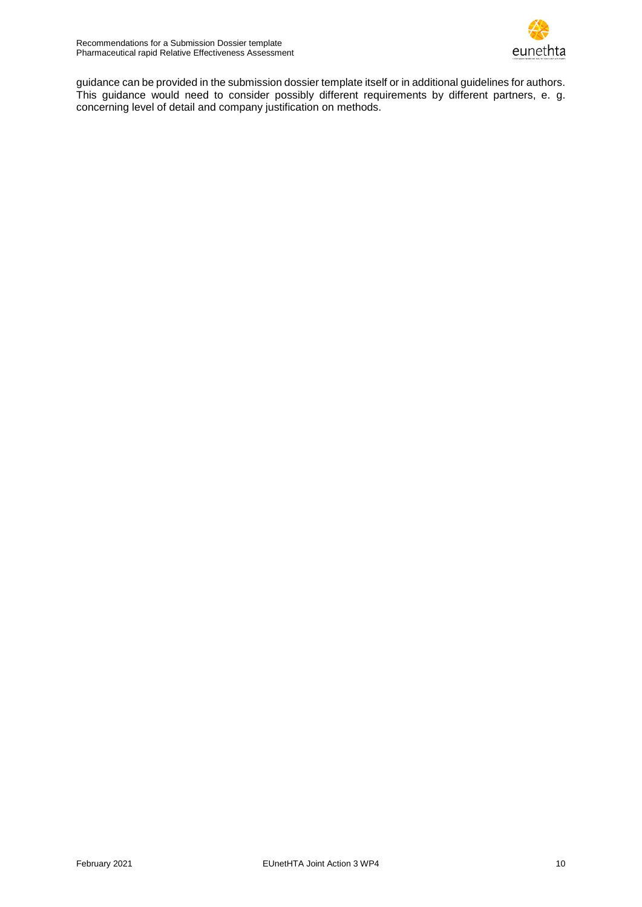

guidance can be provided in the submission dossier template itself or in additional guidelines for authors. This guidance would need to consider possibly different requirements by different partners, e. g. concerning level of detail and company justification on methods.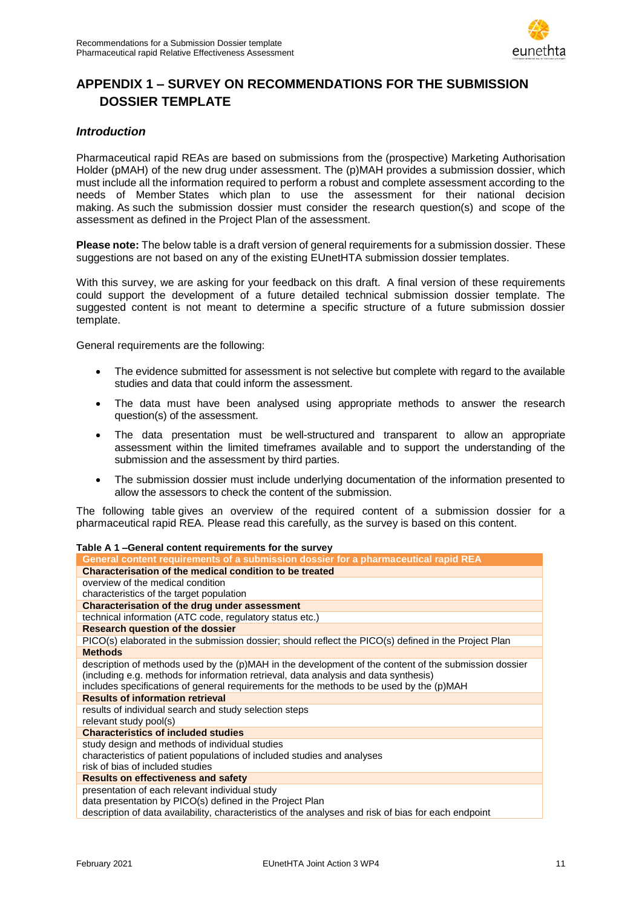

## <span id="page-10-0"></span>**APPENDIX 1 – SURVEY ON RECOMMENDATIONS FOR THE SUBMISSION DOSSIER TEMPLATE**

#### <span id="page-10-1"></span>*Introduction*

Pharmaceutical rapid REAs are based on submissions from the (prospective) Marketing Authorisation Holder (pMAH) of the new drug under assessment. The (p)MAH provides a submission dossier, which must include all the information required to perform a robust and complete assessment according to the needs of Member States which plan to use the assessment for their national decision making. As such the submission dossier must consider the research question(s) and scope of the assessment as defined in the Project Plan of the assessment.

**Please note:** The below table is a draft version of general requirements for a submission dossier. These suggestions are not based on any of the existing EUnetHTA submission dossier templates.

With this survey, we are asking for your feedback on this draft. A final version of these requirements could support the development of a future detailed technical submission dossier template. The suggested content is not meant to determine a specific structure of a future submission dossier template.

General requirements are the following:

- The evidence submitted for assessment is not selective but complete with regard to the available studies and data that could inform the assessment.
- The data must have been analysed using appropriate methods to answer the research question(s) of the assessment.
- The data presentation must be well-structured and transparent to allow an appropriate assessment within the limited timeframes available and to support the understanding of the submission and the assessment by third parties.
- The submission dossier must include underlying documentation of the information presented to allow the assessors to check the content of the submission.

The following table gives an overview of the required content of a submission dossier for a pharmaceutical rapid REA. Please read this carefully, as the survey is based on this content.

<span id="page-10-2"></span>

| Table A 1-General content requirements for the survey                                                                                                                                                                                                                                     |
|-------------------------------------------------------------------------------------------------------------------------------------------------------------------------------------------------------------------------------------------------------------------------------------------|
| General content requirements of a submission dossier for a pharmaceutical rapid REA                                                                                                                                                                                                       |
| Characterisation of the medical condition to be treated                                                                                                                                                                                                                                   |
| overview of the medical condition                                                                                                                                                                                                                                                         |
| characteristics of the target population                                                                                                                                                                                                                                                  |
| <b>Characterisation of the drug under assessment</b>                                                                                                                                                                                                                                      |
| technical information (ATC code, regulatory status etc.)                                                                                                                                                                                                                                  |
| <b>Research question of the dossier</b>                                                                                                                                                                                                                                                   |
| PICO(s) elaborated in the submission dossier; should reflect the PICO(s) defined in the Project Plan                                                                                                                                                                                      |
| <b>Methods</b>                                                                                                                                                                                                                                                                            |
| description of methods used by the (p)MAH in the development of the content of the submission dossier<br>(including e.g. methods for information retrieval, data analysis and data synthesis)<br>includes specifications of general requirements for the methods to be used by the (p)MAH |
| <b>Results of information retrieval</b>                                                                                                                                                                                                                                                   |
| results of individual search and study selection steps<br>relevant study pool(s)                                                                                                                                                                                                          |
| <b>Characteristics of included studies</b>                                                                                                                                                                                                                                                |
| study design and methods of individual studies<br>characteristics of patient populations of included studies and analyses<br>risk of bias of included studies                                                                                                                             |
| <b>Results on effectiveness and safety</b>                                                                                                                                                                                                                                                |
| presentation of each relevant individual study<br>data presentation by PICO(s) defined in the Project Plan<br>description of data availability, characteristics of the analyses and risk of bias for each endpoint                                                                        |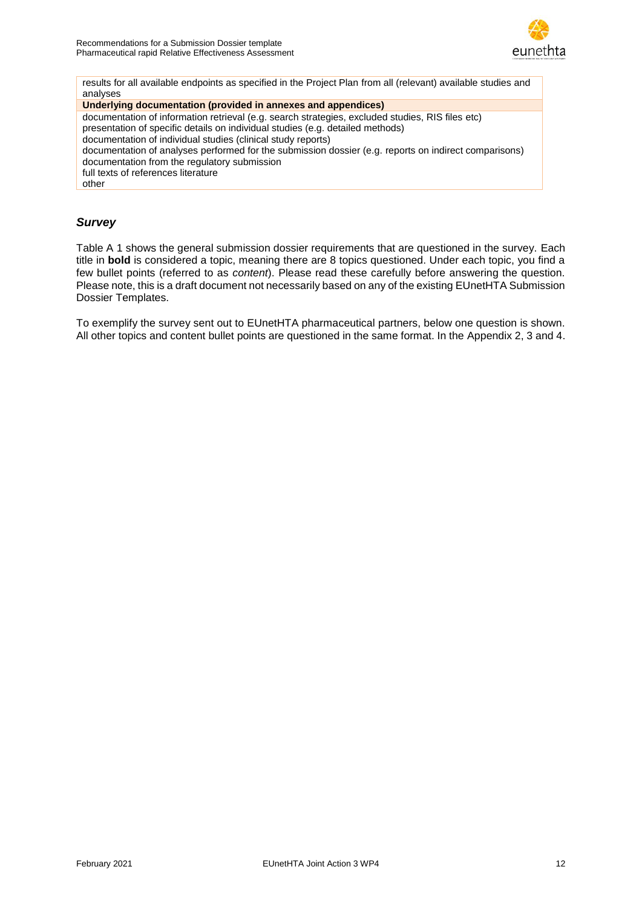

results for all available endpoints as specified in the Project Plan from all (relevant) available studies and analyses

**Underlying documentation (provided in annexes and appendices)**

documentation of information retrieval (e.g. search strategies, excluded studies, RIS files etc)

presentation of specific details on individual studies (e.g. detailed methods)

documentation of individual studies (clinical study reports)

documentation of analyses performed for the submission dossier (e.g. reports on indirect comparisons) documentation from the regulatory submission

full texts of references literature

other

### <span id="page-11-0"></span>*Survey*

[Table A 1](#page-10-2) shows the general submission dossier requirements that are questioned in the survey. Each title in **bold** is considered a topic, meaning there are 8 topics questioned. Under each topic, you find a few bullet points (referred to as *content*). Please read these carefully before answering the question. Please note, this is a draft document not necessarily based on any of the existing EUnetHTA Submission Dossier Templates.

To exemplify the survey sent out to EUnetHTA pharmaceutical partners, below one question is shown. All other topics and content bullet points are questioned in the same format. In the Appendix 2, 3 and 4.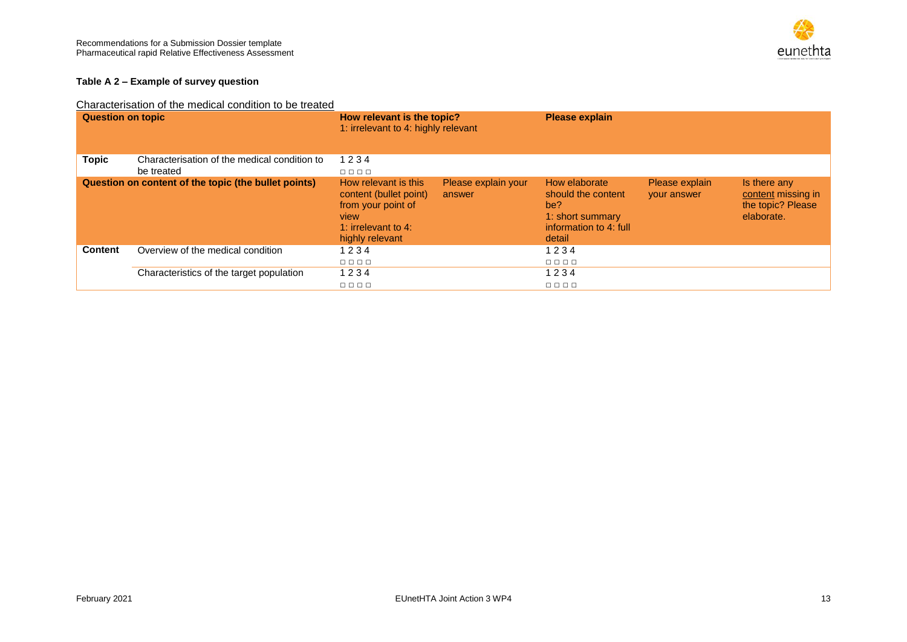

#### **Table A 2 – Example of survey question**

#### Characterisation of the medical condition to be treated

<span id="page-12-0"></span>

| <b>Question on topic</b>                             |                                                            | How relevant is the topic?<br>1: irrelevant to 4: highly relevant                                                         |                               | <b>Please explain</b>                                                                              |                                      |                                                                       |
|------------------------------------------------------|------------------------------------------------------------|---------------------------------------------------------------------------------------------------------------------------|-------------------------------|----------------------------------------------------------------------------------------------------|--------------------------------------|-----------------------------------------------------------------------|
| Topic                                                | Characterisation of the medical condition to<br>be treated | 1234<br>$\Box$ $\Box$ $\Box$                                                                                              |                               |                                                                                                    |                                      |                                                                       |
| Question on content of the topic (the bullet points) |                                                            | How relevant is this<br>content (bullet point)<br>from your point of<br>view<br>1: irrelevant to $4$ :<br>highly relevant | Please explain your<br>answer | How elaborate<br>should the content<br>be?<br>1: short summary<br>information to 4: full<br>detail | Please explain<br><b>your answer</b> | Is there any<br>content missing in<br>the topic? Please<br>elaborate. |
| <b>Content</b>                                       | Overview of the medical condition                          | 1234<br>$\Box\quad \Box\ \Box\ \Box$                                                                                      |                               | 1234<br>0000                                                                                       |                                      |                                                                       |
|                                                      | Characteristics of the target population                   | 1234<br>$\Box$ $\Box$ $\Box$                                                                                              |                               | 1234<br>$\Box$ $\Box$ $\Box$                                                                       |                                      |                                                                       |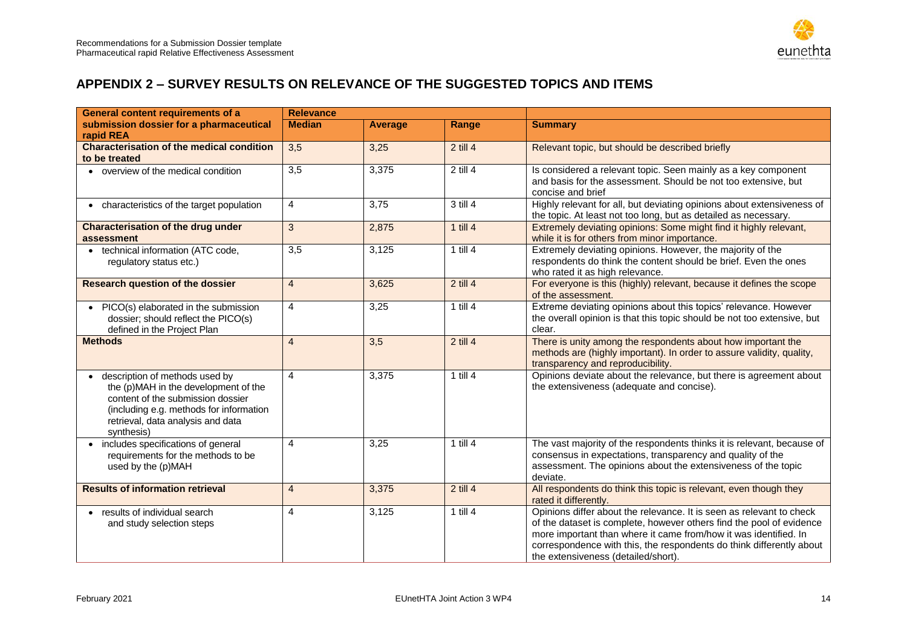

### **APPENDIX 2 – SURVEY RESULTS ON RELEVANCE OF THE SUGGESTED TOPICS AND ITEMS**

<span id="page-13-0"></span>

| <b>General content requirements of a</b>                                                                                                                                                                               | <b>Relevance</b> |                |              |                                                                                                                                                                                                                                                                                                                                 |  |
|------------------------------------------------------------------------------------------------------------------------------------------------------------------------------------------------------------------------|------------------|----------------|--------------|---------------------------------------------------------------------------------------------------------------------------------------------------------------------------------------------------------------------------------------------------------------------------------------------------------------------------------|--|
| submission dossier for a pharmaceutical<br>rapid REA                                                                                                                                                                   | <b>Median</b>    | <b>Average</b> | Range        | <b>Summary</b>                                                                                                                                                                                                                                                                                                                  |  |
| <b>Characterisation of the medical condition</b><br>to be treated                                                                                                                                                      | $\overline{3,5}$ | 3,25           | $2$ till 4   | Relevant topic, but should be described briefly                                                                                                                                                                                                                                                                                 |  |
| overview of the medical condition                                                                                                                                                                                      | 3,5              | 3,375          | $2$ till $4$ | Is considered a relevant topic. Seen mainly as a key component<br>and basis for the assessment. Should be not too extensive, but<br>concise and brief                                                                                                                                                                           |  |
| • characteristics of the target population                                                                                                                                                                             | 4                | 3,75           | 3 till 4     | Highly relevant for all, but deviating opinions about extensiveness of<br>the topic. At least not too long, but as detailed as necessary.                                                                                                                                                                                       |  |
| <b>Characterisation of the drug under</b><br>assessment                                                                                                                                                                | 3                | 2,875          | $1$ till $4$ | Extremely deviating opinions: Some might find it highly relevant,<br>while it is for others from minor importance.                                                                                                                                                                                                              |  |
| technical information (ATC code,<br>$\bullet$<br>regulatory status etc.)                                                                                                                                               | 3,5              | 3,125          | $1$ till $4$ | Extremely deviating opinions. However, the majority of the<br>respondents do think the content should be brief. Even the ones<br>who rated it as high relevance.                                                                                                                                                                |  |
| <b>Research question of the dossier</b>                                                                                                                                                                                | $\overline{4}$   | 3,625          | $2$ till 4   | For everyone is this (highly) relevant, because it defines the scope<br>of the assessment.                                                                                                                                                                                                                                      |  |
| PICO(s) elaborated in the submission<br>dossier; should reflect the PICO(s)<br>defined in the Project Plan                                                                                                             | 4                | 3,25           | 1 till $4$   | Extreme deviating opinions about this topics' relevance. However<br>the overall opinion is that this topic should be not too extensive, but<br>clear.                                                                                                                                                                           |  |
| <b>Methods</b>                                                                                                                                                                                                         | $\overline{4}$   | 3,5            | $2$ till 4   | There is unity among the respondents about how important the<br>methods are (highly important). In order to assure validity, quality,<br>transparency and reproducibility.                                                                                                                                                      |  |
| description of methods used by<br>$\bullet$<br>the (p)MAH in the development of the<br>content of the submission dossier<br>(including e.g. methods for information<br>retrieval, data analysis and data<br>synthesis) | 4                | 3,375          | $1$ till $4$ | Opinions deviate about the relevance, but there is agreement about<br>the extensiveness (adequate and concise).                                                                                                                                                                                                                 |  |
| includes specifications of general<br>requirements for the methods to be<br>used by the (p)MAH                                                                                                                         | 4                | 3,25           | $1$ till $4$ | The vast majority of the respondents thinks it is relevant, because of<br>consensus in expectations, transparency and quality of the<br>assessment. The opinions about the extensiveness of the topic<br>deviate.                                                                                                               |  |
| <b>Results of information retrieval</b>                                                                                                                                                                                | $\overline{4}$   | 3,375          | $2$ till 4   | All respondents do think this topic is relevant, even though they<br>rated it differently.                                                                                                                                                                                                                                      |  |
| results of individual search<br>and study selection steps                                                                                                                                                              | 4                | 3,125          | $1$ till $4$ | Opinions differ about the relevance. It is seen as relevant to check<br>of the dataset is complete, however others find the pool of evidence<br>more important than where it came from/how it was identified. In<br>correspondence with this, the respondents do think differently about<br>the extensiveness (detailed/short). |  |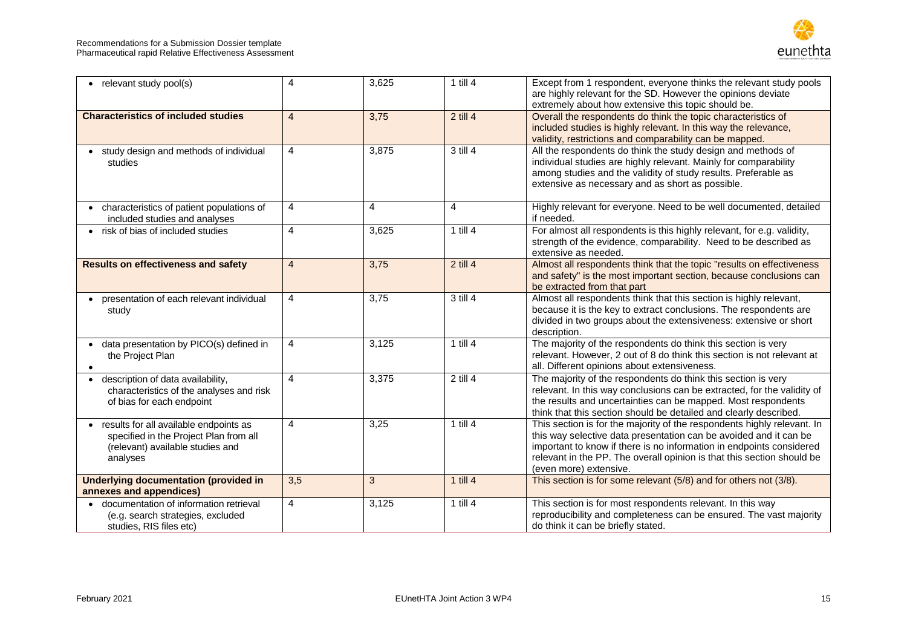#### Recommendations for a Submission Dossier template Pharmaceutical rapid Relative Effectiveness Assessment



| • relevant study pool(s)                                                                                                                      | 4              | 3,625          | 1 till $4$   | Except from 1 respondent, everyone thinks the relevant study pools<br>are highly relevant for the SD. However the opinions deviate<br>extremely about how extensive this topic should be.                                                                                                                                |
|-----------------------------------------------------------------------------------------------------------------------------------------------|----------------|----------------|--------------|--------------------------------------------------------------------------------------------------------------------------------------------------------------------------------------------------------------------------------------------------------------------------------------------------------------------------|
| <b>Characteristics of included studies</b>                                                                                                    | $\overline{4}$ | 3,75           | $2$ till 4   | Overall the respondents do think the topic characteristics of<br>included studies is highly relevant. In this way the relevance,<br>validity, restrictions and comparability can be mapped.                                                                                                                              |
| • study design and methods of individual<br>studies                                                                                           | $\overline{4}$ | 3,875          | 3 till 4     | All the respondents do think the study design and methods of<br>individual studies are highly relevant. Mainly for comparability<br>among studies and the validity of study results. Preferable as<br>extensive as necessary and as short as possible.                                                                   |
| • characteristics of patient populations of<br>included studies and analyses                                                                  | $\overline{4}$ | $\overline{4}$ | 4            | Highly relevant for everyone. Need to be well documented, detailed<br>if needed.                                                                                                                                                                                                                                         |
| • risk of bias of included studies                                                                                                            | $\overline{4}$ | 3,625          | 1 till $4$   | For almost all respondents is this highly relevant, for e.g. validity,<br>strength of the evidence, comparability. Need to be described as<br>extensive as needed.                                                                                                                                                       |
| <b>Results on effectiveness and safety</b>                                                                                                    | $\overline{4}$ | 3,75           | $2$ till 4   | Almost all respondents think that the topic "results on effectiveness<br>and safety" is the most important section, because conclusions can<br>be extracted from that part                                                                                                                                               |
| presentation of each relevant individual<br>study                                                                                             | $\overline{4}$ | 3,75           | 3 till 4     | Almost all respondents think that this section is highly relevant,<br>because it is the key to extract conclusions. The respondents are<br>divided in two groups about the extensiveness: extensive or short<br>description.                                                                                             |
| • data presentation by PICO(s) defined in<br>the Project Plan<br>$\bullet$                                                                    | $\overline{4}$ | 3,125          | $1$ till $4$ | The majority of the respondents do think this section is very<br>relevant. However, 2 out of 8 do think this section is not relevant at<br>all. Different opinions about extensiveness.                                                                                                                                  |
| description of data availability,<br>$\bullet$<br>characteristics of the analyses and risk<br>of bias for each endpoint                       | $\overline{4}$ | 3,375          | $2$ till 4   | The majority of the respondents do think this section is very<br>relevant. In this way conclusions can be extracted, for the validity of<br>the results and uncertainties can be mapped. Most respondents<br>think that this section should be detailed and clearly described.                                           |
| results for all available endpoints as<br>$\bullet$<br>specified in the Project Plan from all<br>(relevant) available studies and<br>analyses | $\overline{4}$ | 3,25           | $1$ till $4$ | This section is for the majority of the respondents highly relevant. In<br>this way selective data presentation can be avoided and it can be<br>important to know if there is no information in endpoints considered<br>relevant in the PP. The overall opinion is that this section should be<br>(even more) extensive. |
| <b>Underlying documentation (provided in</b><br>annexes and appendices)                                                                       | 3,5            | 3              | $1$ till $4$ | This section is for some relevant (5/8) and for others not (3/8).                                                                                                                                                                                                                                                        |
| documentation of information retrieval<br>(e.g. search strategies, excluded<br>studies, RIS files etc)                                        | $\overline{4}$ | 3,125          | $1$ till $4$ | This section is for most respondents relevant. In this way<br>reproducibility and completeness can be ensured. The vast majority<br>do think it can be briefly stated.                                                                                                                                                   |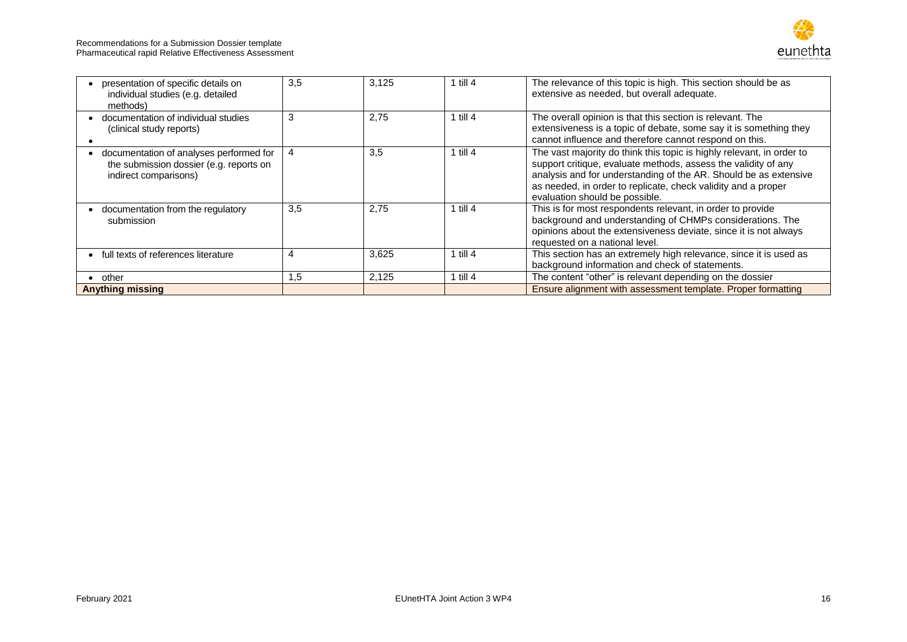

| presentation of specific details on<br>individual studies (e.g. detailed<br>methods)                        | 3.5 | 3,125 | 1 till $4$   | The relevance of this topic is high. This section should be as<br>extensive as needed, but overall adequate.                                                                                                                                                                                                   |
|-------------------------------------------------------------------------------------------------------------|-----|-------|--------------|----------------------------------------------------------------------------------------------------------------------------------------------------------------------------------------------------------------------------------------------------------------------------------------------------------------|
| documentation of individual studies<br>(clinical study reports)                                             | 3   | 2,75  | 1 till $4$   | The overall opinion is that this section is relevant. The<br>extensiveness is a topic of debate, some say it is something they<br>cannot influence and therefore cannot respond on this.                                                                                                                       |
| documentation of analyses performed for<br>the submission dossier (e.g. reports on<br>indirect comparisons) | 4   | 3,5   | 1 till $4$   | The vast majority do think this topic is highly relevant, in order to<br>support critique, evaluate methods, assess the validity of any<br>analysis and for understanding of the AR. Should be as extensive<br>as needed, in order to replicate, check validity and a proper<br>evaluation should be possible. |
| documentation from the regulatory<br>submission                                                             | 3.5 | 2.75  | 1 till $4$   | This is for most respondents relevant, in order to provide<br>background and understanding of CHMPs considerations. The<br>opinions about the extensiveness deviate, since it is not always<br>requested on a national level.                                                                                  |
| full texts of references literature                                                                         | 4   | 3,625 | 1 till $4$   | This section has an extremely high relevance, since it is used as<br>background information and check of statements.                                                                                                                                                                                           |
| other                                                                                                       | .5  | 2,125 | $1$ till $4$ | The content "other" is relevant depending on the dossier                                                                                                                                                                                                                                                       |
| <b>Anything missing</b>                                                                                     |     |       |              | Ensure alignment with assessment template. Proper formatting                                                                                                                                                                                                                                                   |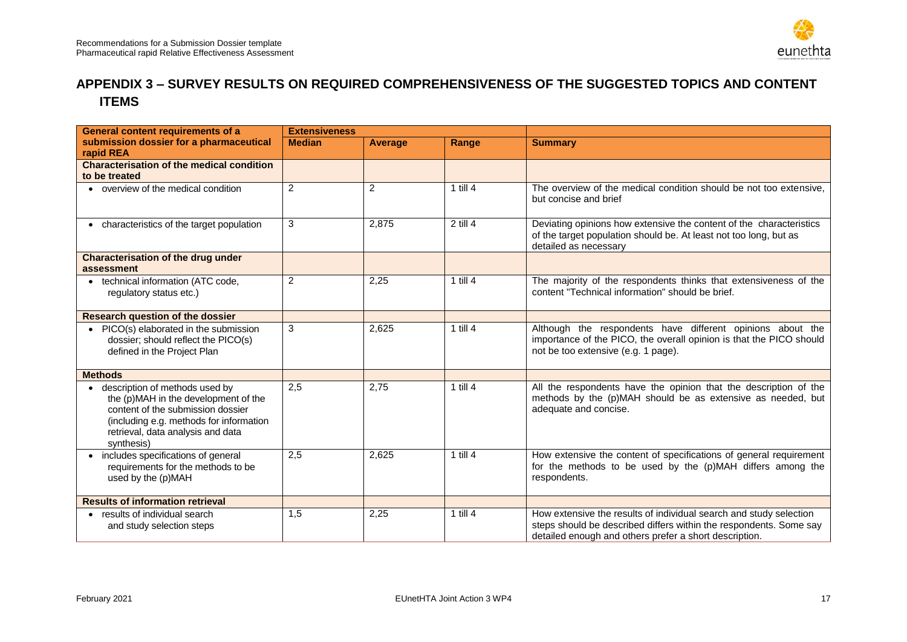

### **APPENDIX 3 – SURVEY RESULTS ON REQUIRED COMPREHENSIVENESS OF THE SUGGESTED TOPICS AND CONTENT ITEMS**

<span id="page-16-0"></span>

| <b>General content requirements of a</b>                                                                                                                                                                  | <b>Extensiveness</b> |         |              |                                                                                                                                                                                                    |
|-----------------------------------------------------------------------------------------------------------------------------------------------------------------------------------------------------------|----------------------|---------|--------------|----------------------------------------------------------------------------------------------------------------------------------------------------------------------------------------------------|
| submission dossier for a pharmaceutical<br>rapid REA                                                                                                                                                      | <b>Median</b>        | Average | Range        | <b>Summary</b>                                                                                                                                                                                     |
| <b>Characterisation of the medical condition</b><br>to be treated                                                                                                                                         |                      |         |              |                                                                                                                                                                                                    |
| • overview of the medical condition                                                                                                                                                                       | $\overline{2}$       | 2       | $1$ till $4$ | The overview of the medical condition should be not too extensive,<br>but concise and brief                                                                                                        |
| • characteristics of the target population                                                                                                                                                                | 3                    | 2,875   | $2$ till 4   | Deviating opinions how extensive the content of the characteristics<br>of the target population should be. At least not too long, but as<br>detailed as necessary                                  |
| <b>Characterisation of the drug under</b><br>assessment                                                                                                                                                   |                      |         |              |                                                                                                                                                                                                    |
| • technical information (ATC code,<br>regulatory status etc.)                                                                                                                                             | $\overline{c}$       | 2,25    | $1$ till $4$ | The majority of the respondents thinks that extensiveness of the<br>content "Technical information" should be brief.                                                                               |
| <b>Research question of the dossier</b>                                                                                                                                                                   |                      |         |              |                                                                                                                                                                                                    |
| PICO(s) elaborated in the submission<br>dossier; should reflect the PICO(s)<br>defined in the Project Plan                                                                                                | 3                    | 2,625   | $1$ till $4$ | Although the respondents have different opinions about the<br>importance of the PICO, the overall opinion is that the PICO should<br>not be too extensive (e.g. 1 page).                           |
| <b>Methods</b>                                                                                                                                                                                            |                      |         |              |                                                                                                                                                                                                    |
| description of methods used by<br>the (p)MAH in the development of the<br>content of the submission dossier<br>(including e.g. methods for information<br>retrieval, data analysis and data<br>synthesis) | 2,5                  | 2,75    | $1$ till $4$ | All the respondents have the opinion that the description of the<br>methods by the (p)MAH should be as extensive as needed, but<br>adequate and concise.                                           |
| includes specifications of general<br>requirements for the methods to be<br>used by the (p)MAH                                                                                                            | 2,5                  | 2,625   | $1$ till $4$ | How extensive the content of specifications of general requirement<br>for the methods to be used by the (p)MAH differs among the<br>respondents.                                                   |
| <b>Results of information retrieval</b>                                                                                                                                                                   |                      |         |              |                                                                                                                                                                                                    |
| • results of individual search<br>and study selection steps                                                                                                                                               | 1,5                  | 2,25    | $1$ till $4$ | How extensive the results of individual search and study selection<br>steps should be described differs within the respondents. Some say<br>detailed enough and others prefer a short description. |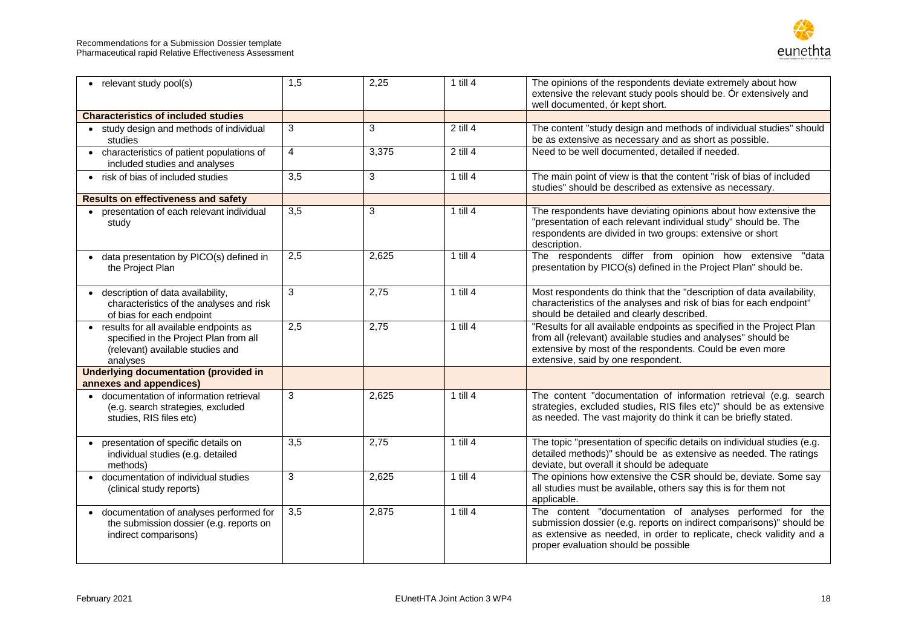

| • relevant study pool(s)                                                                                                           | 1,5              | 2,25  | $1$ till $4$ | The opinions of the respondents deviate extremely about how<br>extensive the relevant study pools should be. Or extensively and<br>well documented, ór kept short.                                                                              |
|------------------------------------------------------------------------------------------------------------------------------------|------------------|-------|--------------|-------------------------------------------------------------------------------------------------------------------------------------------------------------------------------------------------------------------------------------------------|
| <b>Characteristics of included studies</b>                                                                                         |                  |       |              |                                                                                                                                                                                                                                                 |
| • study design and methods of individual<br>studies                                                                                | 3                | 3     | $2$ till $4$ | The content "study design and methods of individual studies" should<br>be as extensive as necessary and as short as possible.                                                                                                                   |
| • characteristics of patient populations of<br>included studies and analyses                                                       | $\overline{4}$   | 3,375 | $2$ till $4$ | Need to be well documented, detailed if needed.                                                                                                                                                                                                 |
| • risk of bias of included studies                                                                                                 | $\overline{3,5}$ | 3     | 1 till $4$   | The main point of view is that the content "risk of bias of included<br>studies" should be described as extensive as necessary.                                                                                                                 |
| <b>Results on effectiveness and safety</b>                                                                                         |                  |       |              |                                                                                                                                                                                                                                                 |
| • presentation of each relevant individual<br>study                                                                                | 3,5              | 3     | $1$ till $4$ | The respondents have deviating opinions about how extensive the<br>"presentation of each relevant individual study" should be. The<br>respondents are divided in two groups: extensive or short<br>description.                                 |
| • data presentation by PICO(s) defined in<br>the Project Plan                                                                      | 2,5              | 2,625 | $1$ till 4   | The respondents differ from opinion how extensive<br>"data<br>presentation by PICO(s) defined in the Project Plan" should be.                                                                                                                   |
| • description of data availability,<br>characteristics of the analyses and risk<br>of bias for each endpoint                       | 3                | 2,75  | 1 till $4$   | Most respondents do think that the "description of data availability,<br>characteristics of the analyses and risk of bias for each endpoint"<br>should be detailed and clearly described.                                                       |
| • results for all available endpoints as<br>specified in the Project Plan from all<br>(relevant) available studies and<br>analyses | 2,5              | 2,75  | 1 till $4$   | "Results for all available endpoints as specified in the Project Plan<br>from all (relevant) available studies and analyses" should be<br>extensive by most of the respondents. Could be even more<br>extensive, said by one respondent.        |
| <b>Underlying documentation (provided in</b><br>annexes and appendices)                                                            |                  |       |              |                                                                                                                                                                                                                                                 |
| • documentation of information retrieval<br>(e.g. search strategies, excluded<br>studies, RIS files etc)                           | 3                | 2,625 | $1$ till $4$ | The content "documentation of information retrieval (e.g. search<br>strategies, excluded studies, RIS files etc)" should be as extensive<br>as needed. The vast majority do think it can be briefly stated.                                     |
| presentation of specific details on<br>individual studies (e.g. detailed<br>methods)                                               | $\overline{3,5}$ | 2,75  | $1$ till 4   | The topic "presentation of specific details on individual studies (e.g.<br>detailed methods)" should be as extensive as needed. The ratings<br>deviate, but overall it should be adequate                                                       |
| • documentation of individual studies<br>(clinical study reports)                                                                  | 3                | 2,625 | $1$ till $4$ | The opinions how extensive the CSR should be, deviate. Some say<br>all studies must be available, others say this is for them not<br>applicable.                                                                                                |
| documentation of analyses performed for<br>$\bullet$<br>the submission dossier (e.g. reports on<br>indirect comparisons)           | 3,5              | 2,875 | $1$ till $4$ | The content "documentation of analyses performed for the<br>submission dossier (e.g. reports on indirect comparisons)" should be<br>as extensive as needed, in order to replicate, check validity and a<br>proper evaluation should be possible |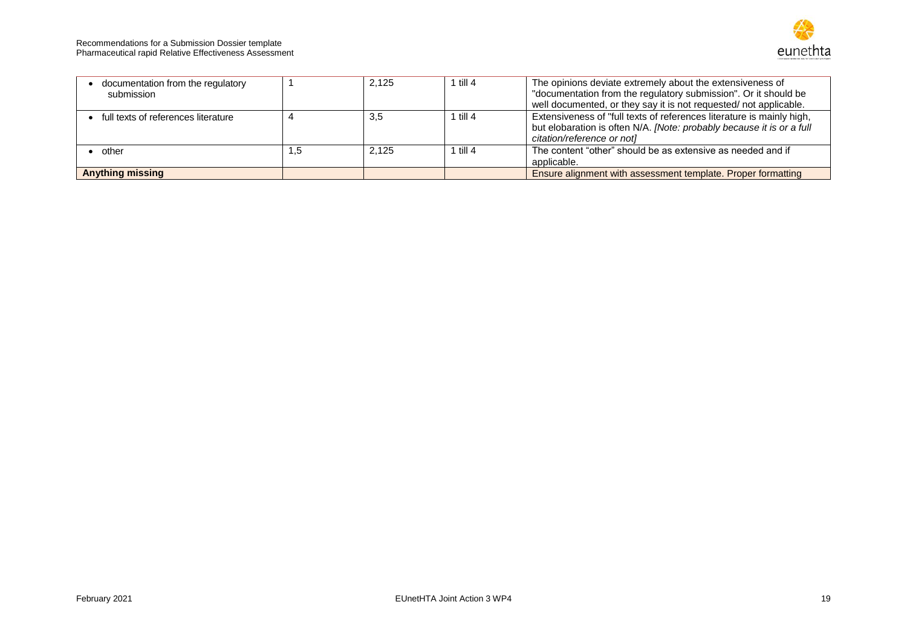

| documentation from the regulatory<br>submission |     | 2,125 | 1 till 4 | The opinions deviate extremely about the extensiveness of<br>"documentation from the regulatory submission". Or it should be<br>well documented, or they say it is not requested/ not applicable. |
|-------------------------------------------------|-----|-------|----------|---------------------------------------------------------------------------------------------------------------------------------------------------------------------------------------------------|
| full texts of references literature             |     | 3.5   | 1 till 4 | Extensiveness of "full texts of references literature is mainly high,<br>but elobaration is often N/A. [Note: probably because it is or a full<br>citation/reference or notl                      |
| other                                           | ٦.5 | 2.125 | 1 till 4 | The content "other" should be as extensive as needed and if<br>applicable.                                                                                                                        |
| <b>Anything missing</b>                         |     |       |          | Ensure alignment with assessment template. Proper formatting                                                                                                                                      |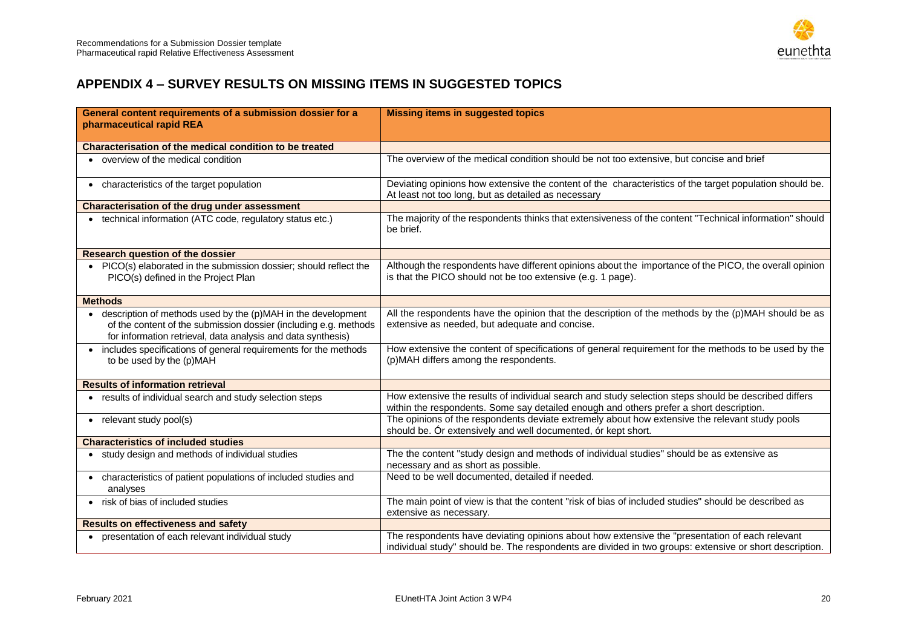

### **APPENDIX 4 – SURVEY RESULTS ON MISSING ITEMS IN SUGGESTED TOPICS**

<span id="page-19-0"></span>

| General content requirements of a submission dossier for a                                                                                                                                         | <b>Missing items in suggested topics</b>                                                                                                                                                                  |
|----------------------------------------------------------------------------------------------------------------------------------------------------------------------------------------------------|-----------------------------------------------------------------------------------------------------------------------------------------------------------------------------------------------------------|
| pharmaceutical rapid REA                                                                                                                                                                           |                                                                                                                                                                                                           |
| Characterisation of the medical condition to be treated                                                                                                                                            |                                                                                                                                                                                                           |
| • overview of the medical condition                                                                                                                                                                | The overview of the medical condition should be not too extensive, but concise and brief                                                                                                                  |
| • characteristics of the target population                                                                                                                                                         | Deviating opinions how extensive the content of the characteristics of the target population should be.<br>At least not too long, but as detailed as necessary                                            |
| <b>Characterisation of the drug under assessment</b>                                                                                                                                               |                                                                                                                                                                                                           |
| • technical information (ATC code, regulatory status etc.)                                                                                                                                         | The majority of the respondents thinks that extensiveness of the content "Technical information" should<br>be brief.                                                                                      |
| <b>Research question of the dossier</b>                                                                                                                                                            |                                                                                                                                                                                                           |
| • PICO(s) elaborated in the submission dossier; should reflect the<br>PICO(s) defined in the Project Plan                                                                                          | Although the respondents have different opinions about the importance of the PICO, the overall opinion<br>is that the PICO should not be too extensive (e.g. 1 page).                                     |
| <b>Methods</b>                                                                                                                                                                                     |                                                                                                                                                                                                           |
| • description of methods used by the (p)MAH in the development<br>of the content of the submission dossier (including e.g. methods<br>for information retrieval, data analysis and data synthesis) | All the respondents have the opinion that the description of the methods by the (p)MAH should be as<br>extensive as needed, but adequate and concise.                                                     |
| • includes specifications of general requirements for the methods<br>to be used by the (p)MAH                                                                                                      | How extensive the content of specifications of general requirement for the methods to be used by the<br>(p)MAH differs among the respondents.                                                             |
| <b>Results of information retrieval</b>                                                                                                                                                            |                                                                                                                                                                                                           |
| • results of individual search and study selection steps                                                                                                                                           | How extensive the results of individual search and study selection steps should be described differs<br>within the respondents. Some say detailed enough and others prefer a short description.           |
| • relevant study pool(s)                                                                                                                                                                           | The opinions of the respondents deviate extremely about how extensive the relevant study pools<br>should be. Or extensively and well documented, or kept short.                                           |
| <b>Characteristics of included studies</b>                                                                                                                                                         |                                                                                                                                                                                                           |
| • study design and methods of individual studies                                                                                                                                                   | The the content "study design and methods of individual studies" should be as extensive as<br>necessary and as short as possible.                                                                         |
| • characteristics of patient populations of included studies and<br>analyses                                                                                                                       | Need to be well documented, detailed if needed.                                                                                                                                                           |
| • risk of bias of included studies                                                                                                                                                                 | The main point of view is that the content "risk of bias of included studies" should be described as<br>extensive as necessary.                                                                           |
| <b>Results on effectiveness and safety</b>                                                                                                                                                         |                                                                                                                                                                                                           |
| • presentation of each relevant individual study                                                                                                                                                   | The respondents have deviating opinions about how extensive the "presentation of each relevant<br>individual study" should be. The respondents are divided in two groups: extensive or short description. |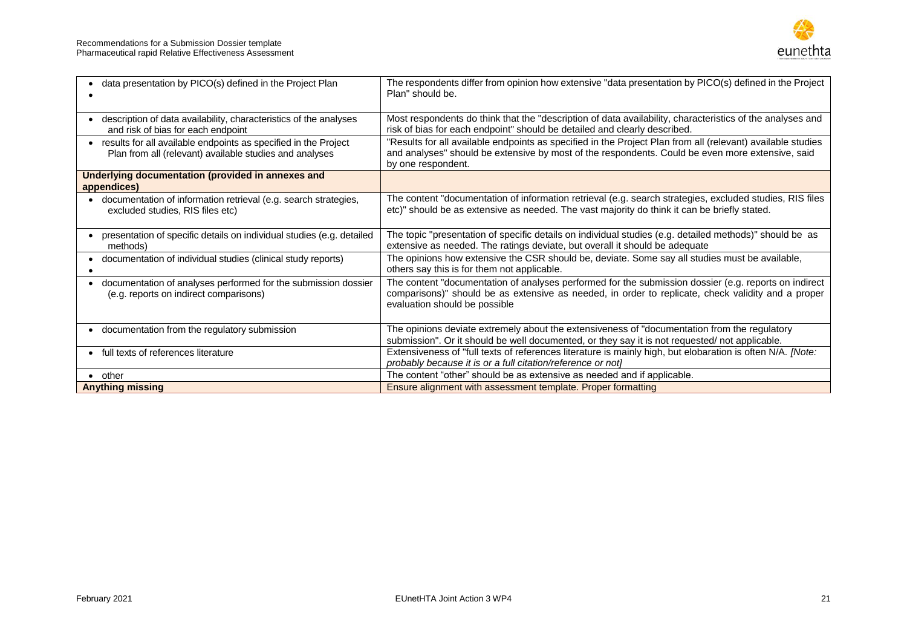

| data presentation by PICO(s) defined in the Project Plan                                                                     | The respondents differ from opinion how extensive "data presentation by PICO(s) defined in the Project<br>Plan" should be.                                                                                                                   |
|------------------------------------------------------------------------------------------------------------------------------|----------------------------------------------------------------------------------------------------------------------------------------------------------------------------------------------------------------------------------------------|
| description of data availability, characteristics of the analyses<br>and risk of bias for each endpoint                      | Most respondents do think that the "description of data availability, characteristics of the analyses and<br>risk of bias for each endpoint" should be detailed and clearly described.                                                       |
| • results for all available endpoints as specified in the Project<br>Plan from all (relevant) available studies and analyses | "Results for all available endpoints as specified in the Project Plan from all (relevant) available studies<br>and analyses" should be extensive by most of the respondents. Could be even more extensive, said<br>by one respondent.        |
| Underlying documentation (provided in annexes and<br>appendices)                                                             |                                                                                                                                                                                                                                              |
| • documentation of information retrieval (e.g. search strategies,<br>excluded studies, RIS files etc)                        | The content "documentation of information retrieval (e.g. search strategies, excluded studies, RIS files<br>etc)" should be as extensive as needed. The vast majority do think it can be briefly stated.                                     |
| presentation of specific details on individual studies (e.g. detailed<br>methods)                                            | The topic "presentation of specific details on individual studies (e.g. detailed methods)" should be as<br>extensive as needed. The ratings deviate, but overall it should be adequate                                                       |
| documentation of individual studies (clinical study reports)                                                                 | The opinions how extensive the CSR should be, deviate. Some say all studies must be available,<br>others say this is for them not applicable.                                                                                                |
| documentation of analyses performed for the submission dossier<br>$\bullet$<br>(e.g. reports on indirect comparisons)        | The content "documentation of analyses performed for the submission dossier (e.g. reports on indirect<br>comparisons)" should be as extensive as needed, in order to replicate, check validity and a proper<br>evaluation should be possible |
| • documentation from the regulatory submission                                                                               | The opinions deviate extremely about the extensiveness of "documentation from the regulatory<br>submission". Or it should be well documented, or they say it is not requested/ not applicable.                                               |
| • full texts of references literature                                                                                        | Extensiveness of "full texts of references literature is mainly high, but elobaration is often N/A. [Note:<br>probably because it is or a full citation/reference or not]                                                                    |
| $\bullet$ other                                                                                                              | The content "other" should be as extensive as needed and if applicable.                                                                                                                                                                      |
| <b>Anything missing</b>                                                                                                      | Ensure alignment with assessment template. Proper formatting                                                                                                                                                                                 |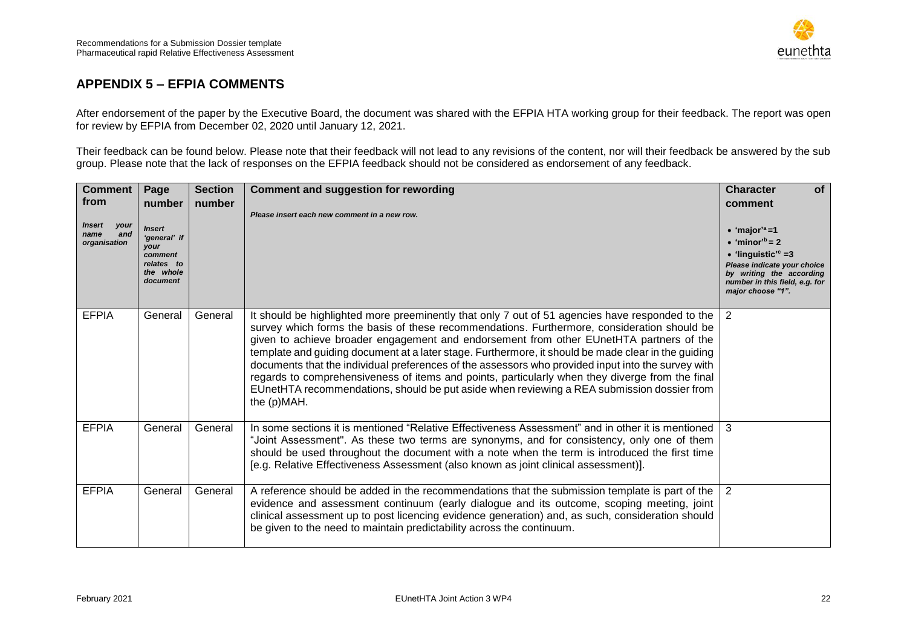

### **APPENDIX 5 – EFPIA COMMENTS**

After endorsement of the paper by the Executive Board, the document was shared with the EFPIA HTA working group for their feedback. The report was open for review by EFPIA from December 02, 2020 until January 12, 2021.

Their feedback can be found below. Please note that their feedback will not lead to any revisions of the content, nor will their feedback be answered by the sub group. Please note that the lack of responses on the EFPIA feedback should not be considered as endorsement of any feedback.

<span id="page-21-0"></span>

| <b>Comment</b><br>from<br>Insert<br>your<br>and<br>name<br>organisation | Page<br>number<br>Insert<br>'general' if<br>your<br>comment<br>relates to<br>the whole<br>document | <b>Section</b><br>number | <b>Comment and suggestion for rewording</b><br>Please insert each new comment in a new row.                                                                                                                                                                                                                                                                                                                                                                                                                                                                                                                                                                                                                            | <b>Character</b><br><b>of</b><br>comment<br>$\bullet$ 'major' <sup>a</sup> =1<br>$\bullet$ 'minor <sup>'b</sup> = 2<br>• 'linguistic' <sup>c</sup> = 3<br>Please indicate your choice<br>by writing the according<br>number in this field, e.g. for<br>major choose "1". |
|-------------------------------------------------------------------------|----------------------------------------------------------------------------------------------------|--------------------------|------------------------------------------------------------------------------------------------------------------------------------------------------------------------------------------------------------------------------------------------------------------------------------------------------------------------------------------------------------------------------------------------------------------------------------------------------------------------------------------------------------------------------------------------------------------------------------------------------------------------------------------------------------------------------------------------------------------------|--------------------------------------------------------------------------------------------------------------------------------------------------------------------------------------------------------------------------------------------------------------------------|
| <b>EFPIA</b>                                                            | General                                                                                            | General                  | It should be highlighted more preeminently that only 7 out of 51 agencies have responded to the<br>survey which forms the basis of these recommendations. Furthermore, consideration should be<br>given to achieve broader engagement and endorsement from other EUnetHTA partners of the<br>template and guiding document at a later stage. Furthermore, it should be made clear in the guiding<br>documents that the individual preferences of the assessors who provided input into the survey with<br>regards to comprehensiveness of items and points, particularly when they diverge from the final<br>EUnetHTA recommendations, should be put aside when reviewing a REA submission dossier from<br>the (p)MAH. | 2                                                                                                                                                                                                                                                                        |
| <b>EFPIA</b>                                                            | General                                                                                            | General                  | In some sections it is mentioned "Relative Effectiveness Assessment" and in other it is mentioned   3<br>"Joint Assessment". As these two terms are synonyms, and for consistency, only one of them<br>should be used throughout the document with a note when the term is introduced the first time<br>[e.g. Relative Effectiveness Assessment (also known as joint clinical assessment)].                                                                                                                                                                                                                                                                                                                            |                                                                                                                                                                                                                                                                          |
| <b>EFPIA</b>                                                            | General                                                                                            | General                  | A reference should be added in the recommendations that the submission template is part of the<br>evidence and assessment continuum (early dialogue and its outcome, scoping meeting, joint<br>clinical assessment up to post licencing evidence generation) and, as such, consideration should<br>be given to the need to maintain predictability across the continuum.                                                                                                                                                                                                                                                                                                                                               | $\overline{2}$                                                                                                                                                                                                                                                           |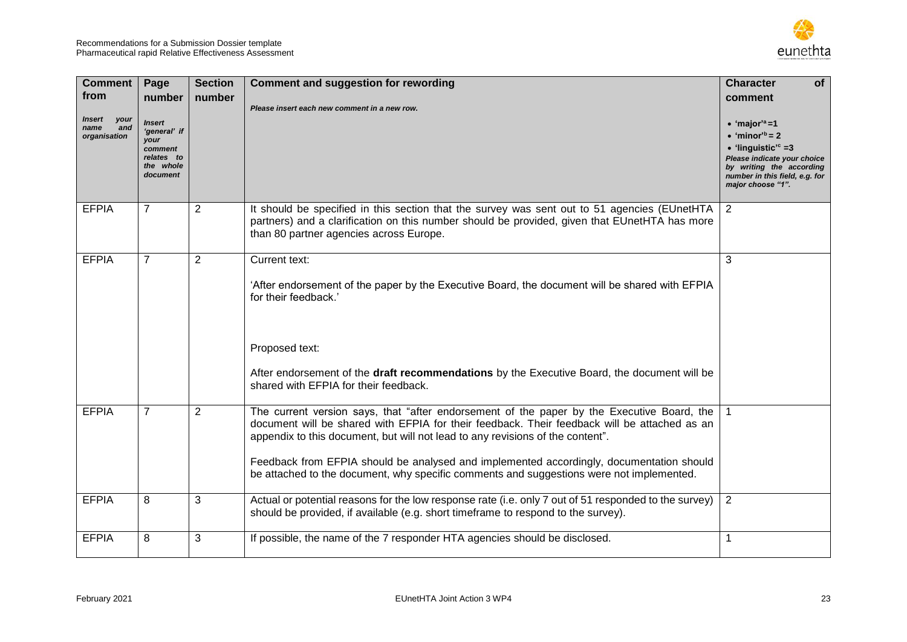

| <b>Comment</b><br>from<br>Insert<br>your<br>and<br>name<br>organisation | Page<br>number<br><b>Insert</b><br>'general' if<br>your<br>comment<br>relates to<br>the whole<br>document | <b>Section</b><br>number | <b>Comment and suggestion for rewording</b><br>Please insert each new comment in a new row.                                                                                                                                                                                                                                                                                                                                                                          | <b>Character</b><br>of<br>comment<br>$\bullet$ 'major' <sup>a</sup> =1<br>$\bullet$ 'minor' <sup>b</sup> = 2<br>$\bullet$ 'linguistic' <sup>c</sup> =3<br>Please indicate your choice<br>by writing the according<br>number in this field, e.g. for<br>major choose "1". |
|-------------------------------------------------------------------------|-----------------------------------------------------------------------------------------------------------|--------------------------|----------------------------------------------------------------------------------------------------------------------------------------------------------------------------------------------------------------------------------------------------------------------------------------------------------------------------------------------------------------------------------------------------------------------------------------------------------------------|--------------------------------------------------------------------------------------------------------------------------------------------------------------------------------------------------------------------------------------------------------------------------|
| <b>EFPIA</b>                                                            | $\overline{7}$                                                                                            | $\overline{2}$           | It should be specified in this section that the survey was sent out to 51 agencies (EUnetHTA<br>partners) and a clarification on this number should be provided, given that EUnetHTA has more<br>than 80 partner agencies across Europe.                                                                                                                                                                                                                             | $\overline{2}$                                                                                                                                                                                                                                                           |
| <b>EFPIA</b>                                                            | $\overline{7}$                                                                                            | $\overline{2}$           | Current text:<br>'After endorsement of the paper by the Executive Board, the document will be shared with EFPIA<br>for their feedback.'<br>Proposed text:<br>After endorsement of the draft recommendations by the Executive Board, the document will be<br>shared with EFPIA for their feedback.                                                                                                                                                                    | 3                                                                                                                                                                                                                                                                        |
| <b>EFPIA</b>                                                            | $\overline{7}$                                                                                            | $\overline{2}$           | The current version says, that "after endorsement of the paper by the Executive Board, the<br>document will be shared with EFPIA for their feedback. Their feedback will be attached as an<br>appendix to this document, but will not lead to any revisions of the content".<br>Feedback from EFPIA should be analysed and implemented accordingly, documentation should<br>be attached to the document, why specific comments and suggestions were not implemented. |                                                                                                                                                                                                                                                                          |
| <b>EFPIA</b>                                                            | 8                                                                                                         | 3                        | Actual or potential reasons for the low response rate (i.e. only 7 out of 51 responded to the survey)<br>should be provided, if available (e.g. short timeframe to respond to the survey).                                                                                                                                                                                                                                                                           | 2                                                                                                                                                                                                                                                                        |
| <b>EFPIA</b>                                                            | 8                                                                                                         | 3                        | If possible, the name of the 7 responder HTA agencies should be disclosed.                                                                                                                                                                                                                                                                                                                                                                                           | 1                                                                                                                                                                                                                                                                        |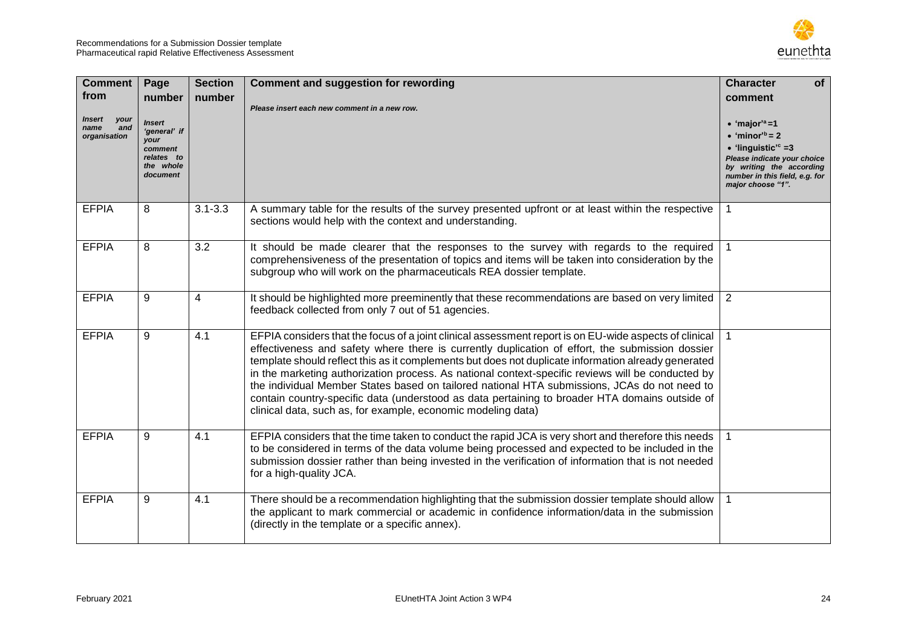

| <b>Comment</b><br>from<br><b>Insert</b><br>your<br>and<br>name<br>organisation | Page<br>number<br><b>Insert</b><br>'general' if<br>your<br>comment<br>relates to<br>the whole<br>document | <b>Section</b><br>number | <b>Comment and suggestion for rewording</b><br>Please insert each new comment in a new row.                                                                                                                                                                                                                                                                                                                                                                                                                                                                                                                                                                                             | <b>Character</b><br><b>of</b><br>comment<br>$\bullet$ 'major' <sup>a</sup> =1<br>$\bullet$ 'minor <sup>'b</sup> = 2<br>$\bullet$ 'linguistic' <sup>c</sup> =3<br>Please indicate your choice<br>by writing the according<br>number in this field, e.g. for<br>major choose "1". |
|--------------------------------------------------------------------------------|-----------------------------------------------------------------------------------------------------------|--------------------------|-----------------------------------------------------------------------------------------------------------------------------------------------------------------------------------------------------------------------------------------------------------------------------------------------------------------------------------------------------------------------------------------------------------------------------------------------------------------------------------------------------------------------------------------------------------------------------------------------------------------------------------------------------------------------------------------|---------------------------------------------------------------------------------------------------------------------------------------------------------------------------------------------------------------------------------------------------------------------------------|
| <b>EFPIA</b>                                                                   | 8                                                                                                         | $3.1 - 3.3$              | A summary table for the results of the survey presented upfront or at least within the respective<br>sections would help with the context and understanding.                                                                                                                                                                                                                                                                                                                                                                                                                                                                                                                            | $\mathbf{1}$                                                                                                                                                                                                                                                                    |
| <b>EFPIA</b>                                                                   | 8                                                                                                         | 3.2                      | It should be made clearer that the responses to the survey with regards to the required   1<br>comprehensiveness of the presentation of topics and items will be taken into consideration by the<br>subgroup who will work on the pharmaceuticals REA dossier template.                                                                                                                                                                                                                                                                                                                                                                                                                 |                                                                                                                                                                                                                                                                                 |
| <b>EFPIA</b>                                                                   | 9                                                                                                         | 4                        | It should be highlighted more preeminently that these recommendations are based on very limited<br>feedback collected from only 7 out of 51 agencies.                                                                                                                                                                                                                                                                                                                                                                                                                                                                                                                                   | $\overline{2}$                                                                                                                                                                                                                                                                  |
| <b>EFPIA</b>                                                                   | 9                                                                                                         | 4.1                      | EFPIA considers that the focus of a joint clinical assessment report is on EU-wide aspects of clinical<br>effectiveness and safety where there is currently duplication of effort, the submission dossier<br>template should reflect this as it complements but does not duplicate information already generated<br>in the marketing authorization process. As national context-specific reviews will be conducted by<br>the individual Member States based on tailored national HTA submissions, JCAs do not need to<br>contain country-specific data (understood as data pertaining to broader HTA domains outside of<br>clinical data, such as, for example, economic modeling data) |                                                                                                                                                                                                                                                                                 |
| <b>EFPIA</b>                                                                   | 9                                                                                                         | 4.1                      | EFPIA considers that the time taken to conduct the rapid JCA is very short and therefore this needs<br>to be considered in terms of the data volume being processed and expected to be included in the<br>submission dossier rather than being invested in the verification of information that is not needed<br>for a high-quality JCA.                                                                                                                                                                                                                                                                                                                                                |                                                                                                                                                                                                                                                                                 |
| <b>EFPIA</b>                                                                   | 9                                                                                                         | 4.1                      | There should be a recommendation highlighting that the submission dossier template should allow $\vert$<br>the applicant to mark commercial or academic in confidence information/data in the submission<br>(directly in the template or a specific annex).                                                                                                                                                                                                                                                                                                                                                                                                                             |                                                                                                                                                                                                                                                                                 |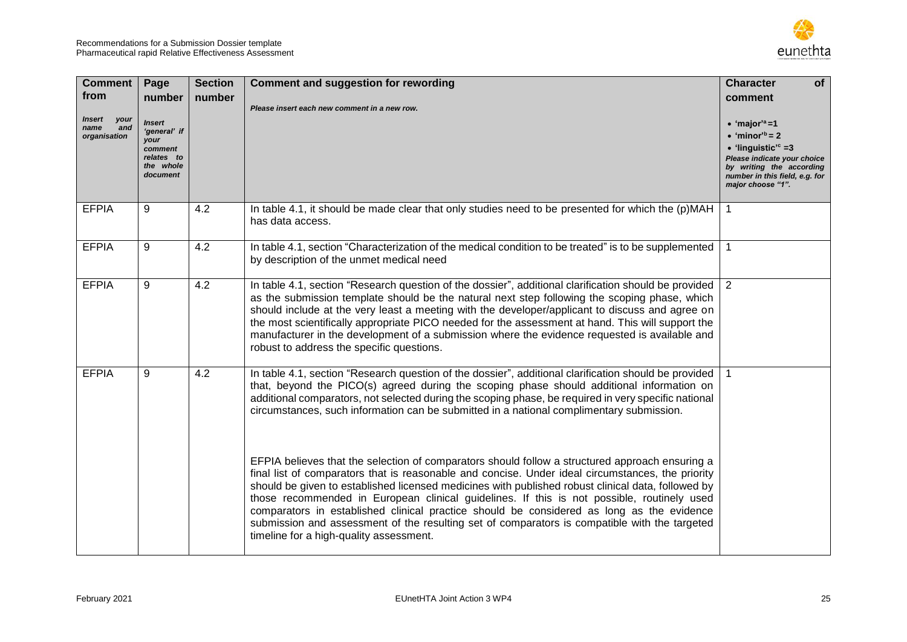

| <b>Comment</b><br>from<br>Insert<br>your<br>name<br>and<br>organisation | Page<br>number<br><i><b>Insert</b></i><br>'general' if<br>your<br>comment<br>relates to<br>the whole<br>document | <b>Section</b><br>number | <b>Comment and suggestion for rewording</b><br>Please insert each new comment in a new row.                                                                                                                                                                                                                                                                                                                                                                                                                                                                                                                                                       | <b>Character</b><br>of<br>comment<br>$\bullet$ 'major' <sup>a</sup> =1<br>$\bullet$ 'minor' <sup>b</sup> = 2<br>$\bullet$ 'linguistic' <sup>c</sup> =3<br>Please indicate your choice<br>by writing the according<br>number in this field, e.g. for<br>major choose "1". |
|-------------------------------------------------------------------------|------------------------------------------------------------------------------------------------------------------|--------------------------|---------------------------------------------------------------------------------------------------------------------------------------------------------------------------------------------------------------------------------------------------------------------------------------------------------------------------------------------------------------------------------------------------------------------------------------------------------------------------------------------------------------------------------------------------------------------------------------------------------------------------------------------------|--------------------------------------------------------------------------------------------------------------------------------------------------------------------------------------------------------------------------------------------------------------------------|
| <b>EFPIA</b>                                                            | 9                                                                                                                | 4.2                      | In table 4.1, it should be made clear that only studies need to be presented for which the $(p)$ MAH<br>has data access.                                                                                                                                                                                                                                                                                                                                                                                                                                                                                                                          | 1                                                                                                                                                                                                                                                                        |
| <b>EFPIA</b>                                                            | 9                                                                                                                | 4.2                      | In table 4.1, section "Characterization of the medical condition to be treated" is to be supplemented<br>by description of the unmet medical need                                                                                                                                                                                                                                                                                                                                                                                                                                                                                                 |                                                                                                                                                                                                                                                                          |
| <b>EFPIA</b>                                                            | 9                                                                                                                | 4.2                      | In table 4.1, section "Research question of the dossier", additional clarification should be provided 2<br>as the submission template should be the natural next step following the scoping phase, which<br>should include at the very least a meeting with the developer/applicant to discuss and agree on<br>the most scientifically appropriate PICO needed for the assessment at hand. This will support the<br>manufacturer in the development of a submission where the evidence requested is available and<br>robust to address the specific questions.                                                                                    |                                                                                                                                                                                                                                                                          |
| <b>EFPIA</b>                                                            | 9                                                                                                                | 4.2                      | In table 4.1, section "Research question of the dossier", additional clarification should be provided   1<br>that, beyond the PICO(s) agreed during the scoping phase should additional information on<br>additional comparators, not selected during the scoping phase, be required in very specific national<br>circumstances, such information can be submitted in a national complimentary submission.                                                                                                                                                                                                                                        |                                                                                                                                                                                                                                                                          |
|                                                                         |                                                                                                                  |                          | EFPIA believes that the selection of comparators should follow a structured approach ensuring a<br>final list of comparators that is reasonable and concise. Under ideal circumstances, the priority<br>should be given to established licensed medicines with published robust clinical data, followed by<br>those recommended in European clinical guidelines. If this is not possible, routinely used<br>comparators in established clinical practice should be considered as long as the evidence<br>submission and assessment of the resulting set of comparators is compatible with the targeted<br>timeline for a high-quality assessment. |                                                                                                                                                                                                                                                                          |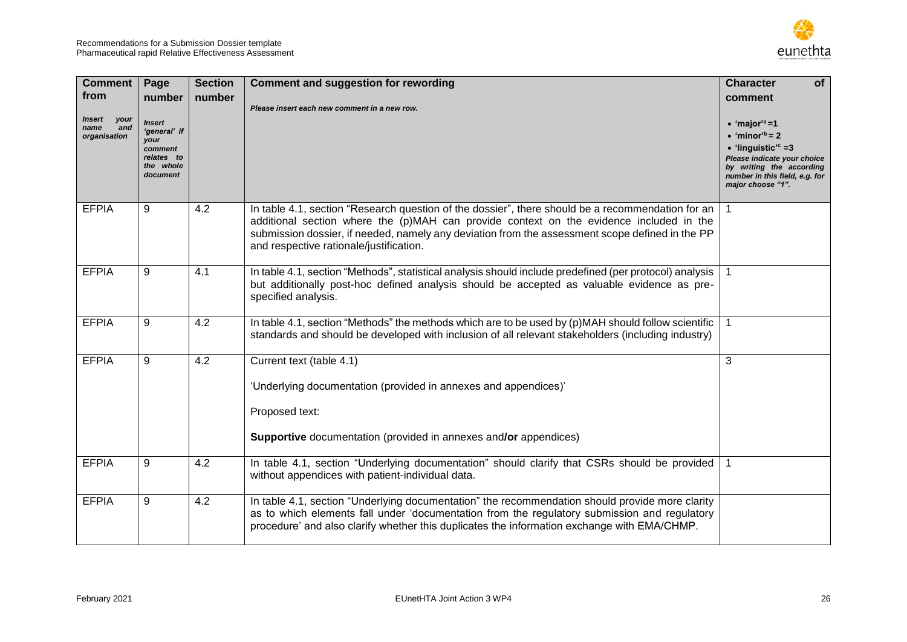

| <b>Comment</b><br>from<br>Insert<br>your<br>name<br>and<br>organisation | Page<br>number<br><b>Insert</b><br>'general' if<br>your<br>comment<br>relates to<br>the whole<br>document | <b>Section</b><br>number | <b>Comment and suggestion for rewording</b><br>Please insert each new comment in a new row.                                                                                                                                                                                                                                                | <b>Character</b><br><b>of</b><br>comment<br>$\bullet$ 'major' <sup>a</sup> =1<br>$\bullet$ 'minor <sup>'b</sup> = 2<br>$\bullet$ 'linguistic' <sup>c</sup> =3<br>Please indicate your choice<br>by writing the according<br>number in this field, e.g. for<br>major choose "1". |
|-------------------------------------------------------------------------|-----------------------------------------------------------------------------------------------------------|--------------------------|--------------------------------------------------------------------------------------------------------------------------------------------------------------------------------------------------------------------------------------------------------------------------------------------------------------------------------------------|---------------------------------------------------------------------------------------------------------------------------------------------------------------------------------------------------------------------------------------------------------------------------------|
| <b>EFPIA</b>                                                            | 9                                                                                                         | 4.2                      | In table 4.1, section "Research question of the dossier", there should be a recommendation for an<br>additional section where the (p)MAH can provide context on the evidence included in the<br>submission dossier, if needed, namely any deviation from the assessment scope defined in the PP<br>and respective rationale/justification. |                                                                                                                                                                                                                                                                                 |
| <b>EFPIA</b>                                                            | 9                                                                                                         | 4.1                      | In table 4.1, section "Methods", statistical analysis should include predefined (per protocol) analysis  <br>but additionally post-hoc defined analysis should be accepted as valuable evidence as pre-<br>specified analysis.                                                                                                             |                                                                                                                                                                                                                                                                                 |
| <b>EFPIA</b>                                                            | 9                                                                                                         | 4.2                      | In table 4.1, section "Methods" the methods which are to be used by (p)MAH should follow scientific<br>standards and should be developed with inclusion of all relevant stakeholders (including industry)                                                                                                                                  | $\overline{1}$                                                                                                                                                                                                                                                                  |
| <b>EFPIA</b>                                                            | 9                                                                                                         | 4.2                      | Current text (table 4.1)<br>'Underlying documentation (provided in annexes and appendices)'<br>Proposed text:<br>Supportive documentation (provided in annexes and/or appendices)                                                                                                                                                          | 3                                                                                                                                                                                                                                                                               |
| <b>EFPIA</b>                                                            | 9                                                                                                         | 4.2                      | In table 4.1, section "Underlying documentation" should clarify that CSRs should be provided   1<br>without appendices with patient-individual data.                                                                                                                                                                                       |                                                                                                                                                                                                                                                                                 |
| <b>EFPIA</b>                                                            | 9                                                                                                         | 4.2                      | In table 4.1, section "Underlying documentation" the recommendation should provide more clarity<br>as to which elements fall under 'documentation from the regulatory submission and regulatory<br>procedure' and also clarify whether this duplicates the information exchange with EMA/CHMP.                                             |                                                                                                                                                                                                                                                                                 |